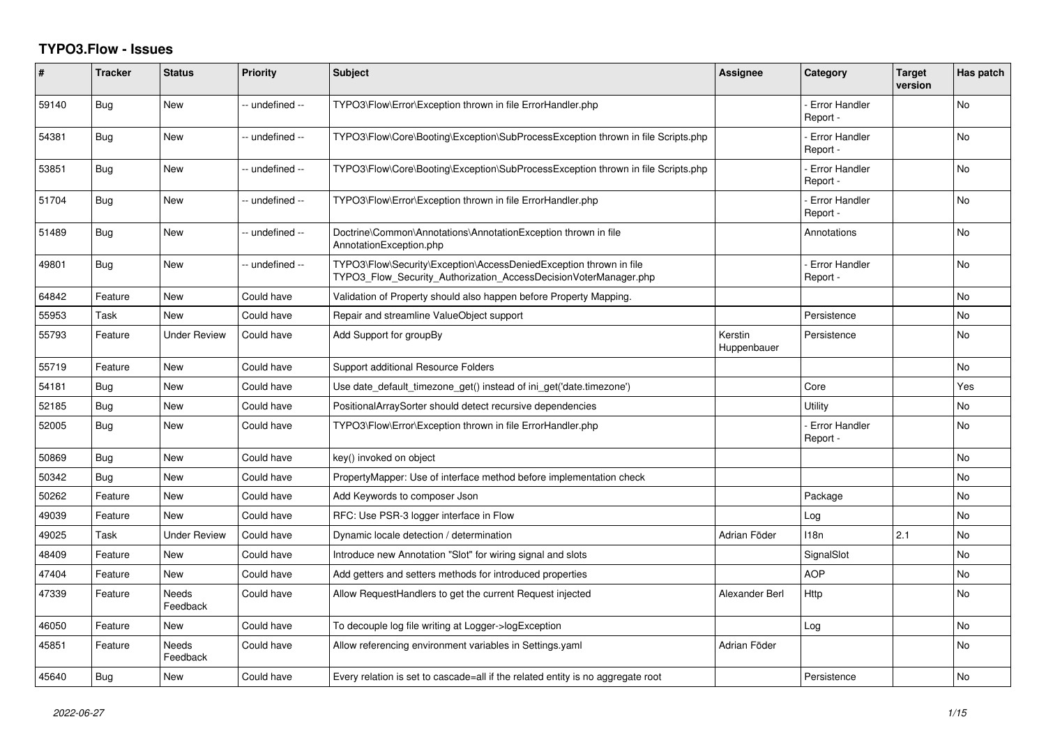## **TYPO3.Flow - Issues**

| #     | <b>Tracker</b> | <b>Status</b>            | <b>Priority</b> | <b>Subject</b>                                                                                                                         | <b>Assignee</b>        | Category                         | <b>Target</b><br>version | Has patch |
|-------|----------------|--------------------------|-----------------|----------------------------------------------------------------------------------------------------------------------------------------|------------------------|----------------------------------|--------------------------|-----------|
| 59140 | Bug            | <b>New</b>               | -- undefined -- | TYPO3\Flow\Error\Exception thrown in file ErrorHandler.php                                                                             |                        | Error Handler<br>Report -        |                          | <b>No</b> |
| 54381 | Bug            | <b>New</b>               | -- undefined -- | TYPO3\Flow\Core\Booting\Exception\SubProcessException thrown in file Scripts.php                                                       |                        | <b>Error Handler</b><br>Report - |                          | <b>No</b> |
| 53851 | Bug            | <b>New</b>               | -- undefined -- | TYPO3\Flow\Core\Booting\Exception\SubProcessException thrown in file Scripts.php                                                       |                        | <b>Error Handler</b><br>Report - |                          | <b>No</b> |
| 51704 | <b>Bug</b>     | <b>New</b>               | -- undefined -- | TYPO3\Flow\Error\Exception thrown in file ErrorHandler.php                                                                             |                        | <b>Error Handler</b><br>Report - |                          | <b>No</b> |
| 51489 | Bug            | New                      | -- undefined -- | Doctrine\Common\Annotations\AnnotationException thrown in file<br>AnnotationException.php                                              |                        | Annotations                      |                          | No        |
| 49801 | Bug            | New                      | -- undefined -- | TYPO3\Flow\Security\Exception\AccessDeniedException thrown in file<br>TYPO3 Flow Security Authorization AccessDecisionVoterManager.php |                        | <b>Error Handler</b><br>Report - |                          | <b>No</b> |
| 64842 | Feature        | <b>New</b>               | Could have      | Validation of Property should also happen before Property Mapping.                                                                     |                        |                                  |                          | <b>No</b> |
| 55953 | Task           | New                      | Could have      | Repair and streamline ValueObject support                                                                                              |                        | Persistence                      |                          | No        |
| 55793 | Feature        | <b>Under Review</b>      | Could have      | Add Support for groupBy                                                                                                                | Kerstin<br>Huppenbauer | Persistence                      |                          | No        |
| 55719 | Feature        | <b>New</b>               | Could have      | Support additional Resource Folders                                                                                                    |                        |                                  |                          | No        |
| 54181 | Bug            | <b>New</b>               | Could have      | Use date_default_timezone_get() instead of ini_get('date.timezone')                                                                    |                        | Core                             |                          | Yes       |
| 52185 | Bug            | New                      | Could have      | PositionalArraySorter should detect recursive dependencies                                                                             |                        | Utility                          |                          | No        |
| 52005 | Bug            | New                      | Could have      | TYPO3\Flow\Error\Exception thrown in file ErrorHandler.php                                                                             |                        | <b>Error Handler</b><br>Report - |                          | No        |
| 50869 | Bug            | <b>New</b>               | Could have      | key() invoked on object                                                                                                                |                        |                                  |                          | <b>No</b> |
| 50342 | Bug            | <b>New</b>               | Could have      | PropertyMapper: Use of interface method before implementation check                                                                    |                        |                                  |                          | <b>No</b> |
| 50262 | Feature        | New                      | Could have      | Add Keywords to composer Json                                                                                                          |                        | Package                          |                          | No        |
| 49039 | Feature        | <b>New</b>               | Could have      | RFC: Use PSR-3 logger interface in Flow                                                                                                |                        | Log                              |                          | No        |
| 49025 | Task           | Under Review             | Could have      | Dynamic locale detection / determination                                                                                               | Adrian Föder           | 118n                             | 2.1                      | No        |
| 48409 | Feature        | New                      | Could have      | Introduce new Annotation "Slot" for wiring signal and slots                                                                            |                        | SignalSlot                       |                          | <b>No</b> |
| 47404 | Feature        | New                      | Could have      | Add getters and setters methods for introduced properties                                                                              |                        | <b>AOP</b>                       |                          | No        |
| 47339 | Feature        | <b>Needs</b><br>Feedback | Could have      | Allow RequestHandlers to get the current Request injected                                                                              | Alexander Berl         | Http                             |                          | No        |
| 46050 | Feature        | <b>New</b>               | Could have      | To decouple log file writing at Logger->logException                                                                                   |                        | Log                              |                          | <b>No</b> |
| 45851 | Feature        | <b>Needs</b><br>Feedback | Could have      | Allow referencing environment variables in Settings.yaml                                                                               | Adrian Föder           |                                  |                          | <b>No</b> |
| 45640 | Bug            | New                      | Could have      | Every relation is set to cascade=all if the related entity is no aggregate root                                                        |                        | Persistence                      |                          | No        |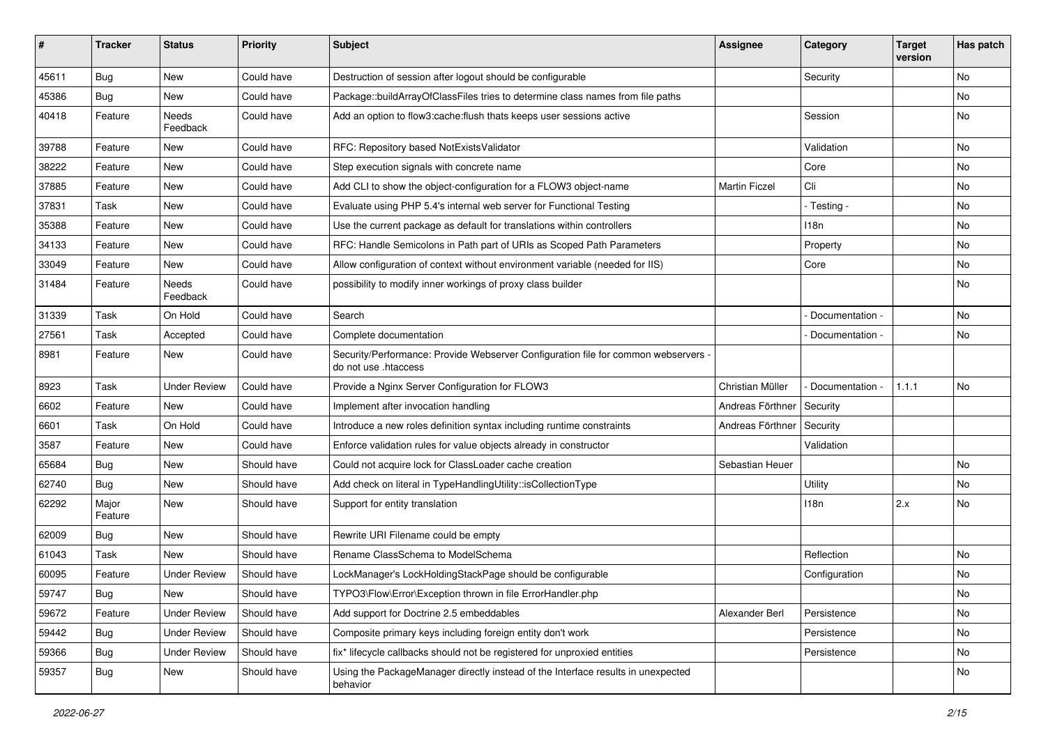| #     | <b>Tracker</b>   | <b>Status</b>       | <b>Priority</b> | <b>Subject</b>                                                                                             | <b>Assignee</b>      | Category        | <b>Target</b><br>version | Has patch |
|-------|------------------|---------------------|-----------------|------------------------------------------------------------------------------------------------------------|----------------------|-----------------|--------------------------|-----------|
| 45611 | Bug              | New                 | Could have      | Destruction of session after logout should be configurable                                                 |                      | Security        |                          | No        |
| 45386 | <b>Bug</b>       | New                 | Could have      | Package::buildArrayOfClassFiles tries to determine class names from file paths                             |                      |                 |                          | No        |
| 40418 | Feature          | Needs<br>Feedback   | Could have      | Add an option to flow3:cache: flush thats keeps user sessions active                                       |                      | Session         |                          | No        |
| 39788 | Feature          | New                 | Could have      | RFC: Repository based NotExistsValidator                                                                   |                      | Validation      |                          | No        |
| 38222 | Feature          | New                 | Could have      | Step execution signals with concrete name                                                                  |                      | Core            |                          | <b>No</b> |
| 37885 | Feature          | New                 | Could have      | Add CLI to show the object-configuration for a FLOW3 object-name                                           | <b>Martin Ficzel</b> | Cli             |                          | No        |
| 37831 | Task             | New                 | Could have      | Evaluate using PHP 5.4's internal web server for Functional Testing                                        |                      | - Testing -     |                          | No        |
| 35388 | Feature          | New                 | Could have      | Use the current package as default for translations within controllers                                     |                      | 118n            |                          | No        |
| 34133 | Feature          | New                 | Could have      | RFC: Handle Semicolons in Path part of URIs as Scoped Path Parameters                                      |                      | Property        |                          | No        |
| 33049 | Feature          | New                 | Could have      | Allow configuration of context without environment variable (needed for IIS)                               |                      | Core            |                          | No        |
| 31484 | Feature          | Needs<br>Feedback   | Could have      | possibility to modify inner workings of proxy class builder                                                |                      |                 |                          | No        |
| 31339 | Task             | On Hold             | Could have      | Search                                                                                                     |                      | Documentation - |                          | <b>No</b> |
| 27561 | Task             | Accepted            | Could have      | Complete documentation                                                                                     |                      | Documentation - |                          | No        |
| 8981  | Feature          | New                 | Could have      | Security/Performance: Provide Webserver Configuration file for common webservers -<br>do not use .htaccess |                      |                 |                          |           |
| 8923  | Task             | <b>Under Review</b> | Could have      | Provide a Nginx Server Configuration for FLOW3                                                             | Christian Müller     | Documentation - | 1.1.1                    | No        |
| 6602  | Feature          | New                 | Could have      | Implement after invocation handling                                                                        | Andreas Förthner     | Security        |                          |           |
| 6601  | Task             | On Hold             | Could have      | Introduce a new roles definition syntax including runtime constraints                                      | Andreas Förthner     | Security        |                          |           |
| 3587  | Feature          | New                 | Could have      | Enforce validation rules for value objects already in constructor                                          |                      | Validation      |                          |           |
| 65684 | Bug              | New                 | Should have     | Could not acquire lock for ClassLoader cache creation                                                      | Sebastian Heuer      |                 |                          | No        |
| 62740 | <b>Bug</b>       | New                 | Should have     | Add check on literal in TypeHandlingUtility::isCollectionType                                              |                      | Utility         |                          | No        |
| 62292 | Major<br>Feature | New                 | Should have     | Support for entity translation                                                                             |                      | 118n            | 2.x                      | No        |
| 62009 | <b>Bug</b>       | New                 | Should have     | Rewrite URI Filename could be empty                                                                        |                      |                 |                          |           |
| 61043 | Task             | New                 | Should have     | Rename ClassSchema to ModelSchema                                                                          |                      | Reflection      |                          | <b>No</b> |
| 60095 | Feature          | <b>Under Review</b> | Should have     | LockManager's LockHoldingStackPage should be configurable                                                  |                      | Configuration   |                          | No        |
| 59747 | Bug              | New                 | Should have     | TYPO3\Flow\Error\Exception thrown in file ErrorHandler.php                                                 |                      |                 |                          | N0        |
| 59672 | Feature          | <b>Under Review</b> | Should have     | Add support for Doctrine 2.5 embeddables                                                                   | Alexander Berl       | Persistence     |                          | No        |
| 59442 | <b>Bug</b>       | <b>Under Review</b> | Should have     | Composite primary keys including foreign entity don't work                                                 |                      | Persistence     |                          | No        |
| 59366 | <b>Bug</b>       | <b>Under Review</b> | Should have     | fix* lifecycle callbacks should not be registered for unproxied entities                                   |                      | Persistence     |                          | No        |
| 59357 | Bug              | New                 | Should have     | Using the PackageManager directly instead of the Interface results in unexpected<br>behavior               |                      |                 |                          | No        |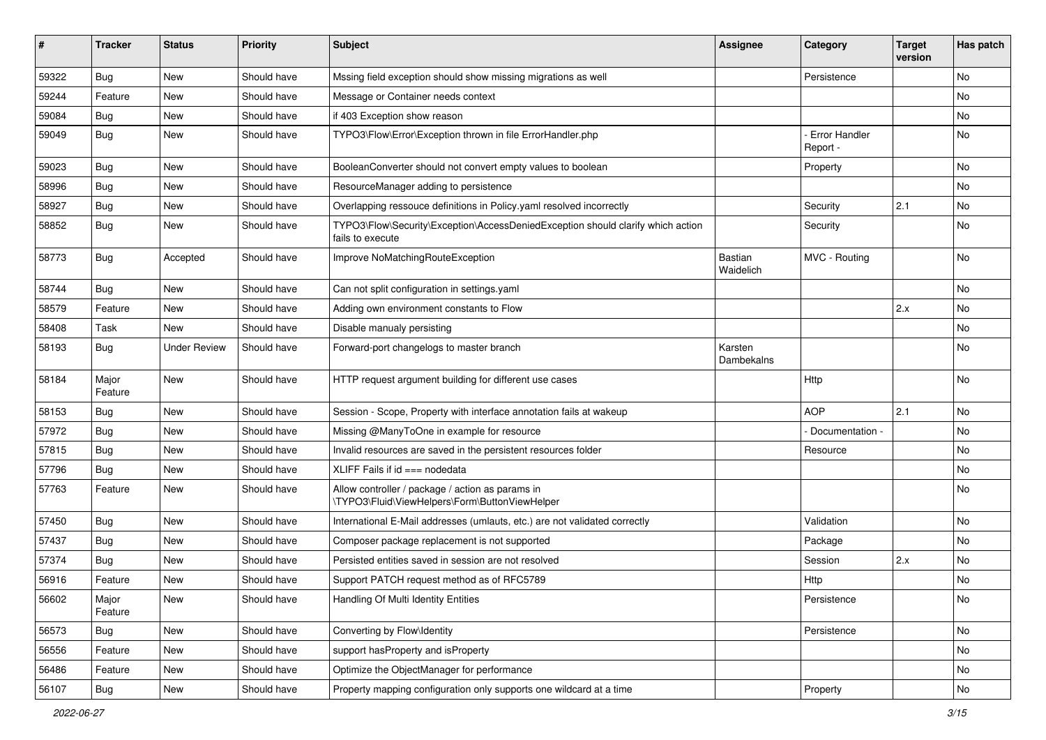| #     | <b>Tracker</b>   | <b>Status</b>       | <b>Priority</b> | <b>Subject</b>                                                                                      | Assignee              | Category                         | <b>Target</b><br>version | Has patch |
|-------|------------------|---------------------|-----------------|-----------------------------------------------------------------------------------------------------|-----------------------|----------------------------------|--------------------------|-----------|
| 59322 | <b>Bug</b>       | <b>New</b>          | Should have     | Mssing field exception should show missing migrations as well                                       |                       | Persistence                      |                          | No        |
| 59244 | Feature          | New                 | Should have     | Message or Container needs context                                                                  |                       |                                  |                          | No        |
| 59084 | Bug              | New                 | Should have     | if 403 Exception show reason                                                                        |                       |                                  |                          | No        |
| 59049 | Bug              | New                 | Should have     | TYPO3\Flow\Error\Exception thrown in file ErrorHandler.php                                          |                       | <b>Error Handler</b><br>Report - |                          | No        |
| 59023 | Bug              | <b>New</b>          | Should have     | BooleanConverter should not convert empty values to boolean                                         |                       | Property                         |                          | No        |
| 58996 | Bug              | New                 | Should have     | ResourceManager adding to persistence                                                               |                       |                                  |                          | No        |
| 58927 | Bug              | New                 | Should have     | Overlapping ressouce definitions in Policy.yaml resolved incorrectly                                |                       | Security                         | 2.1                      | No        |
| 58852 | Bug              | New                 | Should have     | TYPO3\Flow\Security\Exception\AccessDeniedException should clarify which action<br>fails to execute |                       | Security                         |                          | No        |
| 58773 | Bug              | Accepted            | Should have     | Improve NoMatchingRouteException                                                                    | Bastian<br>Waidelich  | MVC - Routing                    |                          | No        |
| 58744 | Bug              | <b>New</b>          | Should have     | Can not split configuration in settings.yaml                                                        |                       |                                  |                          | No        |
| 58579 | Feature          | <b>New</b>          | Should have     | Adding own environment constants to Flow                                                            |                       |                                  | 2.x                      | No.       |
| 58408 | Task             | New                 | Should have     | Disable manualy persisting                                                                          |                       |                                  |                          | No        |
| 58193 | Bug              | <b>Under Review</b> | Should have     | Forward-port changelogs to master branch                                                            | Karsten<br>Dambekalns |                                  |                          | No        |
| 58184 | Major<br>Feature | <b>New</b>          | Should have     | HTTP request argument building for different use cases                                              |                       | Http                             |                          | No        |
| 58153 | Bug              | <b>New</b>          | Should have     | Session - Scope, Property with interface annotation fails at wakeup                                 |                       | <b>AOP</b>                       | 2.1                      | No        |
| 57972 | Bug              | New                 | Should have     | Missing @ManyToOne in example for resource                                                          |                       | Documentation -                  |                          | No        |
| 57815 | Bug              | New                 | Should have     | Invalid resources are saved in the persistent resources folder                                      |                       | Resource                         |                          | No        |
| 57796 | Bug              | New                 | Should have     | XLIFF Fails if $id == node data$                                                                    |                       |                                  |                          | No        |
| 57763 | Feature          | New                 | Should have     | Allow controller / package / action as params in<br>\TYPO3\Fluid\ViewHelpers\Form\ButtonViewHelper  |                       |                                  |                          | <b>No</b> |
| 57450 | Bug              | New                 | Should have     | International E-Mail addresses (umlauts, etc.) are not validated correctly                          |                       | Validation                       |                          | No        |
| 57437 | Bug              | New                 | Should have     | Composer package replacement is not supported                                                       |                       | Package                          |                          | No        |
| 57374 | Bug              | New                 | Should have     | Persisted entities saved in session are not resolved                                                |                       | Session                          | 2.x                      | No        |
| 56916 | Feature          | New                 | Should have     | Support PATCH request method as of RFC5789                                                          |                       | Http                             |                          | No        |
| 56602 | Major<br>Feature | New                 | Should have     | Handling Of Multi Identity Entities                                                                 |                       | Persistence                      |                          | No        |
| 56573 | <b>Bug</b>       | New                 | Should have     | Converting by Flow\Identity                                                                         |                       | Persistence                      |                          | No        |
| 56556 | Feature          | <b>New</b>          | Should have     | support has Property and is Property                                                                |                       |                                  |                          | No        |
| 56486 | Feature          | New                 | Should have     | Optimize the ObjectManager for performance                                                          |                       |                                  |                          | No        |
| 56107 | Bug              | New                 | Should have     | Property mapping configuration only supports one wildcard at a time                                 |                       | Property                         |                          | No        |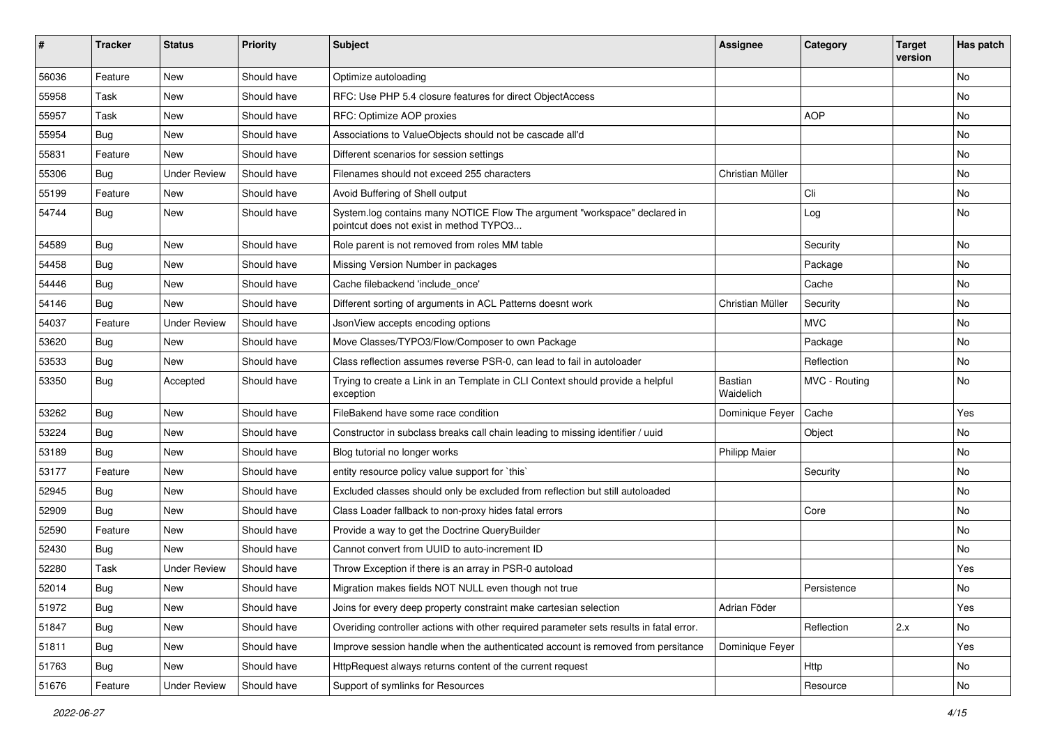| #     | <b>Tracker</b>   | <b>Status</b>       | <b>Priority</b> | <b>Subject</b>                                                                                                       | <b>Assignee</b>      | Category      | <b>Target</b><br>version | Has patch |
|-------|------------------|---------------------|-----------------|----------------------------------------------------------------------------------------------------------------------|----------------------|---------------|--------------------------|-----------|
| 56036 | Feature          | <b>New</b>          | Should have     | Optimize autoloading                                                                                                 |                      |               |                          | No        |
| 55958 | Task             | New                 | Should have     | RFC: Use PHP 5.4 closure features for direct ObjectAccess                                                            |                      |               |                          | No        |
| 55957 | Task             | New                 | Should have     | RFC: Optimize AOP proxies                                                                                            |                      | <b>AOP</b>    |                          | No        |
| 55954 | Bug              | New                 | Should have     | Associations to ValueObjects should not be cascade all'd                                                             |                      |               |                          | No        |
| 55831 | Feature          | New                 | Should have     | Different scenarios for session settings                                                                             |                      |               |                          | No        |
| 55306 | Bug              | <b>Under Review</b> | Should have     | Filenames should not exceed 255 characters                                                                           | Christian Müller     |               |                          | No        |
| 55199 | Feature          | New                 | Should have     | Avoid Buffering of Shell output                                                                                      |                      | Cli           |                          | No        |
| 54744 | Bug              | New                 | Should have     | System.log contains many NOTICE Flow The argument "workspace" declared in<br>pointcut does not exist in method TYPO3 |                      | Log           |                          | No        |
| 54589 | Bug              | New                 | Should have     | Role parent is not removed from roles MM table                                                                       |                      | Security      |                          | <b>No</b> |
| 54458 | Bug              | New                 | Should have     | Missing Version Number in packages                                                                                   |                      | Package       |                          | <b>No</b> |
| 54446 | Bug              | New                 | Should have     | Cache filebackend 'include once'                                                                                     |                      | Cache         |                          | No        |
| 54146 | Bug              | New                 | Should have     | Different sorting of arguments in ACL Patterns doesnt work                                                           | Christian Müller     | Security      |                          | No        |
| 54037 | Feature          | <b>Under Review</b> | Should have     | JsonView accepts encoding options                                                                                    |                      | <b>MVC</b>    |                          | No        |
| 53620 | Bug              | New                 | Should have     | Move Classes/TYPO3/Flow/Composer to own Package                                                                      |                      | Package       |                          | No        |
| 53533 | Bug              | New                 | Should have     | Class reflection assumes reverse PSR-0, can lead to fail in autoloader                                               |                      | Reflection    |                          | No        |
| 53350 | <b>Bug</b>       | Accepted            | Should have     | Trying to create a Link in an Template in CLI Context should provide a helpful<br>exception                          | Bastian<br>Waidelich | MVC - Routing |                          | No        |
| 53262 | <b>Bug</b>       | <b>New</b>          | Should have     | FileBakend have some race condition                                                                                  | Dominique Feyer      | Cache         |                          | Yes       |
| 53224 | <b>Bug</b>       | New                 | Should have     | Constructor in subclass breaks call chain leading to missing identifier / uuid                                       |                      | Object        |                          | No        |
| 53189 | Bug              | <b>New</b>          | Should have     | Blog tutorial no longer works                                                                                        | <b>Philipp Maier</b> |               |                          | No        |
| 53177 | Feature          | <b>New</b>          | Should have     | entity resource policy value support for `this`                                                                      |                      | Security      |                          | No        |
| 52945 | Bug              | New                 | Should have     | Excluded classes should only be excluded from reflection but still autoloaded                                        |                      |               |                          | No        |
| 52909 | <b>Bug</b>       | New                 | Should have     | Class Loader fallback to non-proxy hides fatal errors                                                                |                      | Core          |                          | No        |
| 52590 | Feature          | New                 | Should have     | Provide a way to get the Doctrine QueryBuilder                                                                       |                      |               |                          | No        |
| 52430 | <b>Bug</b>       | New                 | Should have     | Cannot convert from UUID to auto-increment ID                                                                        |                      |               |                          | No        |
| 52280 | Task             | <b>Under Review</b> | Should have     | Throw Exception if there is an array in PSR-0 autoload                                                               |                      |               |                          | Yes       |
| 52014 | <sub>i</sub> Bug | New                 | Should have     | Migration makes fields NOT NULL even though not true                                                                 |                      | Persistence   |                          | No        |
| 51972 | <b>Bug</b>       | New                 | Should have     | Joins for every deep property constraint make cartesian selection                                                    | Adrian Föder         |               |                          | Yes       |
| 51847 | Bug              | New                 | Should have     | Overiding controller actions with other required parameter sets results in fatal error.                              |                      | Reflection    | 2.x                      | No        |
| 51811 | Bug              | New                 | Should have     | Improve session handle when the authenticated account is removed from persitance                                     | Dominique Feyer      |               |                          | Yes       |
| 51763 | Bug              | New                 | Should have     | HttpRequest always returns content of the current request                                                            |                      | Http          |                          | No        |
| 51676 | Feature          | <b>Under Review</b> | Should have     | Support of symlinks for Resources                                                                                    |                      | Resource      |                          | No        |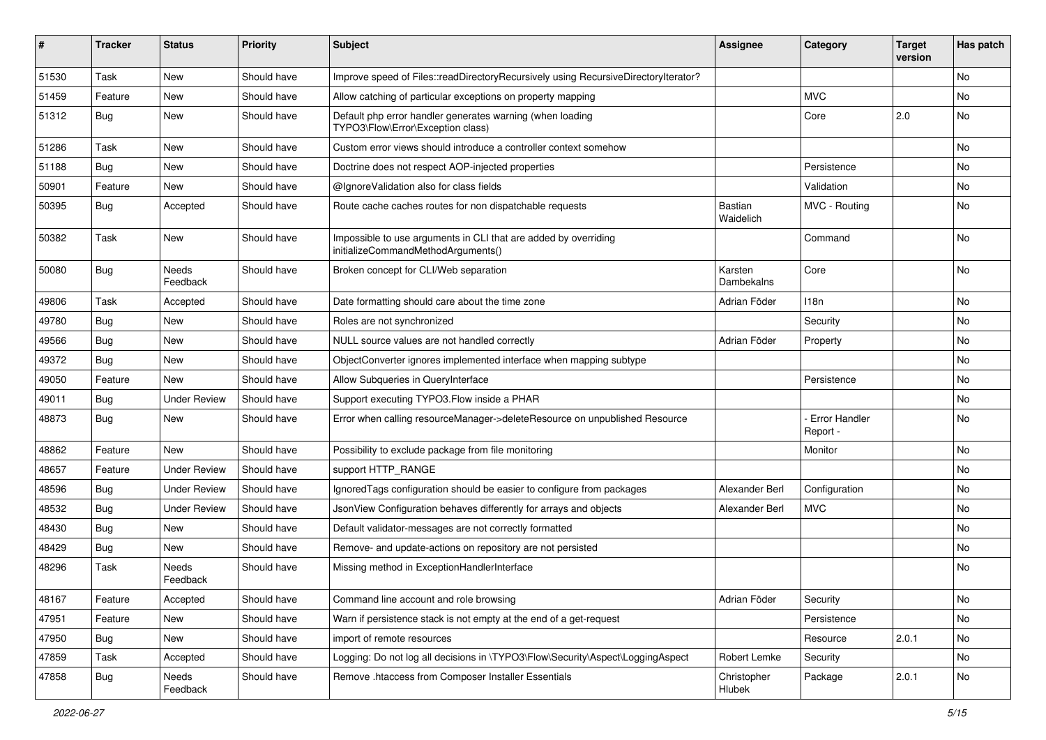| ∦     | <b>Tracker</b> | <b>Status</b>       | <b>Priority</b> | <b>Subject</b>                                                                                        | <b>Assignee</b>              | Category                         | <b>Target</b><br>version | Has patch |
|-------|----------------|---------------------|-----------------|-------------------------------------------------------------------------------------------------------|------------------------------|----------------------------------|--------------------------|-----------|
| 51530 | Task           | New                 | Should have     | Improve speed of Files::readDirectoryRecursively using RecursiveDirectoryIterator?                    |                              |                                  |                          | <b>No</b> |
| 51459 | Feature        | New                 | Should have     | Allow catching of particular exceptions on property mapping                                           |                              | <b>MVC</b>                       |                          | No        |
| 51312 | <b>Bug</b>     | New                 | Should have     | Default php error handler generates warning (when loading<br>TYPO3\Flow\Error\Exception class)        |                              | Core                             | 2.0                      | No        |
| 51286 | Task           | <b>New</b>          | Should have     | Custom error views should introduce a controller context somehow                                      |                              |                                  |                          | <b>No</b> |
| 51188 | Bug            | <b>New</b>          | Should have     | Doctrine does not respect AOP-injected properties                                                     |                              | Persistence                      |                          | No        |
| 50901 | Feature        | New                 | Should have     | @IgnoreValidation also for class fields                                                               |                              | Validation                       |                          | No        |
| 50395 | <b>Bug</b>     | Accepted            | Should have     | Route cache caches routes for non dispatchable requests                                               | Bastian<br>Waidelich         | MVC - Routing                    |                          | No        |
| 50382 | Task           | <b>New</b>          | Should have     | Impossible to use arguments in CLI that are added by overriding<br>initializeCommandMethodArguments() |                              | Command                          |                          | No        |
| 50080 | Bug            | Needs<br>Feedback   | Should have     | Broken concept for CLI/Web separation                                                                 | Karsten<br><b>Dambekalns</b> | Core                             |                          | No        |
| 49806 | Task           | Accepted            | Should have     | Date formatting should care about the time zone                                                       | Adrian Föder                 | 118 <sub>n</sub>                 |                          | No        |
| 49780 | Bug            | <b>New</b>          | Should have     | Roles are not synchronized                                                                            |                              | Security                         |                          | No        |
| 49566 | <b>Bug</b>     | New                 | Should have     | NULL source values are not handled correctly                                                          | Adrian Föder                 | Property                         |                          | No        |
| 49372 | Bug            | <b>New</b>          | Should have     | ObjectConverter ignores implemented interface when mapping subtype                                    |                              |                                  |                          | No        |
| 49050 | Feature        | New                 | Should have     | Allow Subqueries in QueryInterface                                                                    |                              | Persistence                      |                          | No        |
| 49011 | Bug            | <b>Under Review</b> | Should have     | Support executing TYPO3. Flow inside a PHAR                                                           |                              |                                  |                          | No        |
| 48873 | Bug            | <b>New</b>          | Should have     | Error when calling resourceManager->deleteResource on unpublished Resource                            |                              | <b>Error Handler</b><br>Report - |                          | No        |
| 48862 | Feature        | New                 | Should have     | Possibility to exclude package from file monitoring                                                   |                              | Monitor                          |                          | No        |
| 48657 | Feature        | <b>Under Review</b> | Should have     | support HTTP_RANGE                                                                                    |                              |                                  |                          | No        |
| 48596 | Bug            | <b>Under Review</b> | Should have     | IgnoredTags configuration should be easier to configure from packages                                 | Alexander Berl               | Configuration                    |                          | No        |
| 48532 | Bug            | <b>Under Review</b> | Should have     | JsonView Configuration behaves differently for arrays and objects                                     | Alexander Berl               | <b>MVC</b>                       |                          | No        |
| 48430 | <b>Bug</b>     | <b>New</b>          | Should have     | Default validator-messages are not correctly formatted                                                |                              |                                  |                          | No        |
| 48429 | <b>Bug</b>     | New                 | Should have     | Remove- and update-actions on repository are not persisted                                            |                              |                                  |                          | No        |
| 48296 | Task           | Needs<br>Feedback   | Should have     | Missing method in ExceptionHandlerInterface                                                           |                              |                                  |                          | No        |
| 48167 | Feature        | Accepted            | Should have     | Command line account and role browsing                                                                | Adrian Föder                 | Security                         |                          | No        |
| 47951 | Feature        | New                 | Should have     | Warn if persistence stack is not empty at the end of a get-request                                    |                              | Persistence                      |                          | No        |
| 47950 | Bug            | New                 | Should have     | import of remote resources                                                                            |                              | Resource                         | 2.0.1                    | No        |
| 47859 | Task           | Accepted            | Should have     | Logging: Do not log all decisions in \TYPO3\Flow\Security\Aspect\LoggingAspect                        | Robert Lemke                 | Security                         |                          | No        |
| 47858 | <b>Bug</b>     | Needs<br>Feedback   | Should have     | Remove .htaccess from Composer Installer Essentials                                                   | Christopher<br>Hlubek        | Package                          | 2.0.1                    | No        |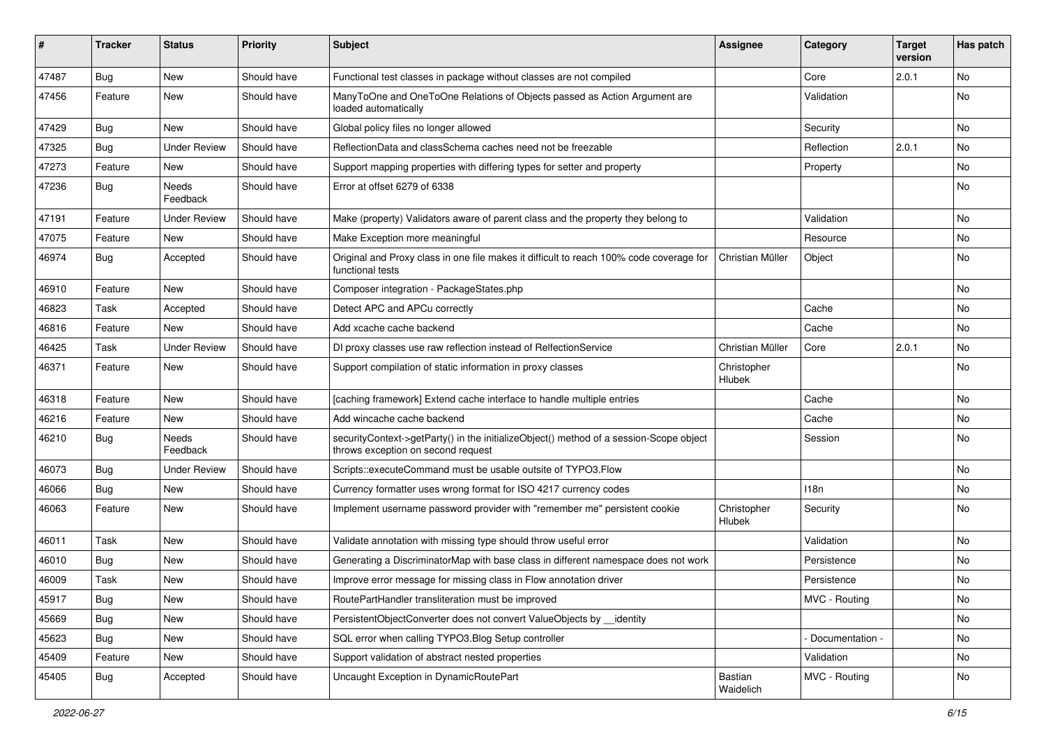| ∦     | <b>Tracker</b> | <b>Status</b>       | <b>Priority</b> | <b>Subject</b>                                                                                                               | <b>Assignee</b>       | Category         | <b>Target</b><br>version | Has patch |
|-------|----------------|---------------------|-----------------|------------------------------------------------------------------------------------------------------------------------------|-----------------------|------------------|--------------------------|-----------|
| 47487 | Bug            | New                 | Should have     | Functional test classes in package without classes are not compiled                                                          |                       | Core             | 2.0.1                    | No        |
| 47456 | Feature        | New                 | Should have     | ManyToOne and OneToOne Relations of Objects passed as Action Argument are<br>loaded automatically                            |                       | Validation       |                          | No        |
| 47429 | Bug            | <b>New</b>          | Should have     | Global policy files no longer allowed                                                                                        |                       | Security         |                          | No        |
| 47325 | Bug            | <b>Under Review</b> | Should have     | ReflectionData and classSchema caches need not be freezable                                                                  |                       | Reflection       | 2.0.1                    | <b>No</b> |
| 47273 | Feature        | <b>New</b>          | Should have     | Support mapping properties with differing types for setter and property                                                      |                       | Property         |                          | <b>No</b> |
| 47236 | Bug            | Needs<br>Feedback   | Should have     | Error at offset 6279 of 6338                                                                                                 |                       |                  |                          | No        |
| 47191 | Feature        | <b>Under Review</b> | Should have     | Make (property) Validators aware of parent class and the property they belong to                                             |                       | Validation       |                          | <b>No</b> |
| 47075 | Feature        | New                 | Should have     | Make Exception more meaningful                                                                                               |                       | Resource         |                          | No        |
| 46974 | <b>Bug</b>     | Accepted            | Should have     | Original and Proxy class in one file makes it difficult to reach 100% code coverage for<br>functional tests                  | Christian Müller      | Object           |                          | No        |
| 46910 | Feature        | <b>New</b>          | Should have     | Composer integration - PackageStates.php                                                                                     |                       |                  |                          | <b>No</b> |
| 46823 | Task           | Accepted            | Should have     | Detect APC and APCu correctly                                                                                                |                       | Cache            |                          | No        |
| 46816 | Feature        | <b>New</b>          | Should have     | Add xcache cache backend                                                                                                     |                       | Cache            |                          | No        |
| 46425 | Task           | <b>Under Review</b> | Should have     | DI proxy classes use raw reflection instead of RelfectionService                                                             | Christian Müller      | Core             | 2.0.1                    | No        |
| 46371 | Feature        | New                 | Should have     | Support compilation of static information in proxy classes                                                                   | Christopher<br>Hlubek |                  |                          | No        |
| 46318 | Feature        | New                 | Should have     | [caching framework] Extend cache interface to handle multiple entries                                                        |                       | Cache            |                          | <b>No</b> |
| 46216 | Feature        | <b>New</b>          | Should have     | Add wincache cache backend                                                                                                   |                       | Cache            |                          | No        |
| 46210 | <b>Bug</b>     | Needs<br>Feedback   | Should have     | securityContext->getParty() in the initializeObject() method of a session-Scope object<br>throws exception on second request |                       | Session          |                          | No        |
| 46073 | <b>Bug</b>     | <b>Under Review</b> | Should have     | Scripts::executeCommand must be usable outsite of TYPO3.Flow                                                                 |                       |                  |                          | No        |
| 46066 | <b>Bug</b>     | <b>New</b>          | Should have     | Currency formatter uses wrong format for ISO 4217 currency codes                                                             |                       | 118 <sub>n</sub> |                          | No        |
| 46063 | Feature        | New                 | Should have     | Implement username password provider with "remember me" persistent cookie                                                    | Christopher<br>Hlubek | Security         |                          | No        |
| 46011 | Task           | <b>New</b>          | Should have     | Validate annotation with missing type should throw useful error                                                              |                       | Validation       |                          | <b>No</b> |
| 46010 | <b>Bug</b>     | New                 | Should have     | Generating a DiscriminatorMap with base class in different namespace does not work                                           |                       | Persistence      |                          | No        |
| 46009 | Task           | New                 | Should have     | Improve error message for missing class in Flow annotation driver                                                            |                       | Persistence      |                          | No        |
| 45917 | i Bug          | New                 | Should have     | RoutePartHandler transliteration must be improved                                                                            |                       | MVC - Routing    |                          | No        |
| 45669 | <b>Bug</b>     | New                 | Should have     | PersistentObjectConverter does not convert ValueObjects by __ identity                                                       |                       |                  |                          | No        |
| 45623 | Bug            | New                 | Should have     | SQL error when calling TYPO3.Blog Setup controller                                                                           |                       | Documentation -  |                          | No        |
| 45409 | Feature        | New                 | Should have     | Support validation of abstract nested properties                                                                             |                       | Validation       |                          | No        |
| 45405 | <b>Bug</b>     | Accepted            | Should have     | Uncaught Exception in DynamicRoutePart                                                                                       | Bastian<br>Waidelich  | MVC - Routing    |                          | No        |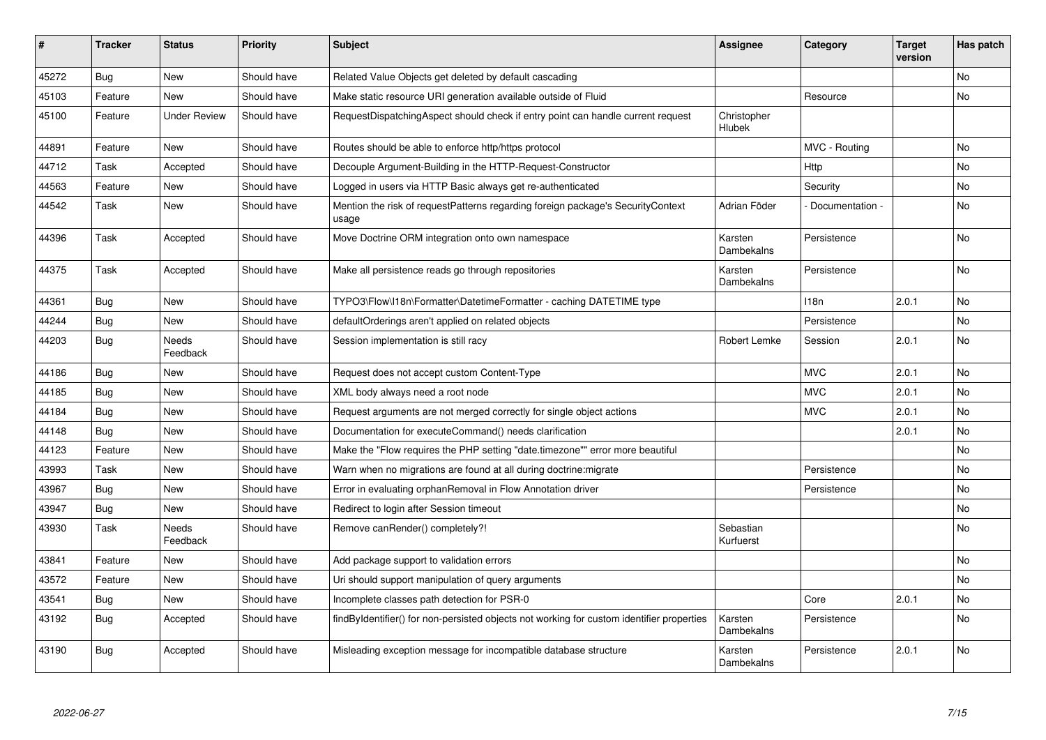| #     | <b>Tracker</b> | <b>Status</b>            | <b>Priority</b> | <b>Subject</b>                                                                             | <b>Assignee</b>        | Category         | Target<br>version | Has patch      |
|-------|----------------|--------------------------|-----------------|--------------------------------------------------------------------------------------------|------------------------|------------------|-------------------|----------------|
| 45272 | <b>Bug</b>     | <b>New</b>               | Should have     | Related Value Objects get deleted by default cascading                                     |                        |                  |                   | N <sub>o</sub> |
| 45103 | Feature        | New                      | Should have     | Make static resource URI generation available outside of Fluid                             |                        | Resource         |                   | No             |
| 45100 | Feature        | <b>Under Review</b>      | Should have     | RequestDispatchingAspect should check if entry point can handle current request            | Christopher<br>Hlubek  |                  |                   |                |
| 44891 | Feature        | New                      | Should have     | Routes should be able to enforce http/https protocol                                       |                        | MVC - Routing    |                   | No             |
| 44712 | Task           | Accepted                 | Should have     | Decouple Argument-Building in the HTTP-Request-Constructor                                 |                        | Http             |                   | No             |
| 44563 | Feature        | New                      | Should have     | Logged in users via HTTP Basic always get re-authenticated                                 |                        | Security         |                   | No.            |
| 44542 | Task           | <b>New</b>               | Should have     | Mention the risk of request Patterns regarding foreign package's Security Context<br>usage | Adrian Föder           | Documentation -  |                   | No             |
| 44396 | Task           | Accepted                 | Should have     | Move Doctrine ORM integration onto own namespace                                           | Karsten<br>Dambekalns  | Persistence      |                   | <b>No</b>      |
| 44375 | Task           | Accepted                 | Should have     | Make all persistence reads go through repositories                                         | Karsten<br>Dambekalns  | Persistence      |                   | No             |
| 44361 | <b>Bug</b>     | New                      | Should have     | TYPO3\Flow\I18n\Formatter\DatetimeFormatter - caching DATETIME type                        |                        | 118 <sub>n</sub> | 2.0.1             | No             |
| 44244 | Bug            | <b>New</b>               | Should have     | defaultOrderings aren't applied on related objects                                         |                        | Persistence      |                   | N <sub>o</sub> |
| 44203 | <b>Bug</b>     | <b>Needs</b><br>Feedback | Should have     | Session implementation is still racy                                                       | Robert Lemke           | Session          | 2.0.1             | <b>No</b>      |
| 44186 | Bug            | <b>New</b>               | Should have     | Request does not accept custom Content-Type                                                |                        | <b>MVC</b>       | 2.0.1             | No             |
| 44185 | Bug            | <b>New</b>               | Should have     | XML body always need a root node                                                           |                        | <b>MVC</b>       | 2.0.1             | <b>No</b>      |
| 44184 | Bug            | New                      | Should have     | Request arguments are not merged correctly for single object actions                       |                        | <b>MVC</b>       | 2.0.1             | No             |
| 44148 | <b>Bug</b>     | <b>New</b>               | Should have     | Documentation for executeCommand() needs clarification                                     |                        |                  | 2.0.1             | N <sub>o</sub> |
| 44123 | Feature        | <b>New</b>               | Should have     | Make the "Flow requires the PHP setting "date.timezone"" error more beautiful              |                        |                  |                   | No             |
| 43993 | Task           | New                      | Should have     | Warn when no migrations are found at all during doctrine: migrate                          |                        | Persistence      |                   | No             |
| 43967 | Bug            | <b>New</b>               | Should have     | Error in evaluating orphanRemoval in Flow Annotation driver                                |                        | Persistence      |                   | No             |
| 43947 | <b>Bug</b>     | <b>New</b>               | Should have     | Redirect to login after Session timeout                                                    |                        |                  |                   | N <sub>o</sub> |
| 43930 | Task           | Needs<br>Feedback        | Should have     | Remove canRender() completely?!                                                            | Sebastian<br>Kurfuerst |                  |                   | <b>No</b>      |
| 43841 | Feature        | <b>New</b>               | Should have     | Add package support to validation errors                                                   |                        |                  |                   | N <sub>o</sub> |
| 43572 | Feature        | New                      | Should have     | Uri should support manipulation of query arguments                                         |                        |                  |                   | No.            |
| 43541 | <b>Bug</b>     | New                      | Should have     | Incomplete classes path detection for PSR-0                                                |                        | Core             | 2.0.1             | No             |
| 43192 | <b>Bug</b>     | Accepted                 | Should have     | findByIdentifier() for non-persisted objects not working for custom identifier properties  | Karsten<br>Dambekalns  | Persistence      |                   | No             |
| 43190 | <b>Bug</b>     | Accepted                 | Should have     | Misleading exception message for incompatible database structure                           | Karsten<br>Dambekalns  | Persistence      | 2.0.1             | No             |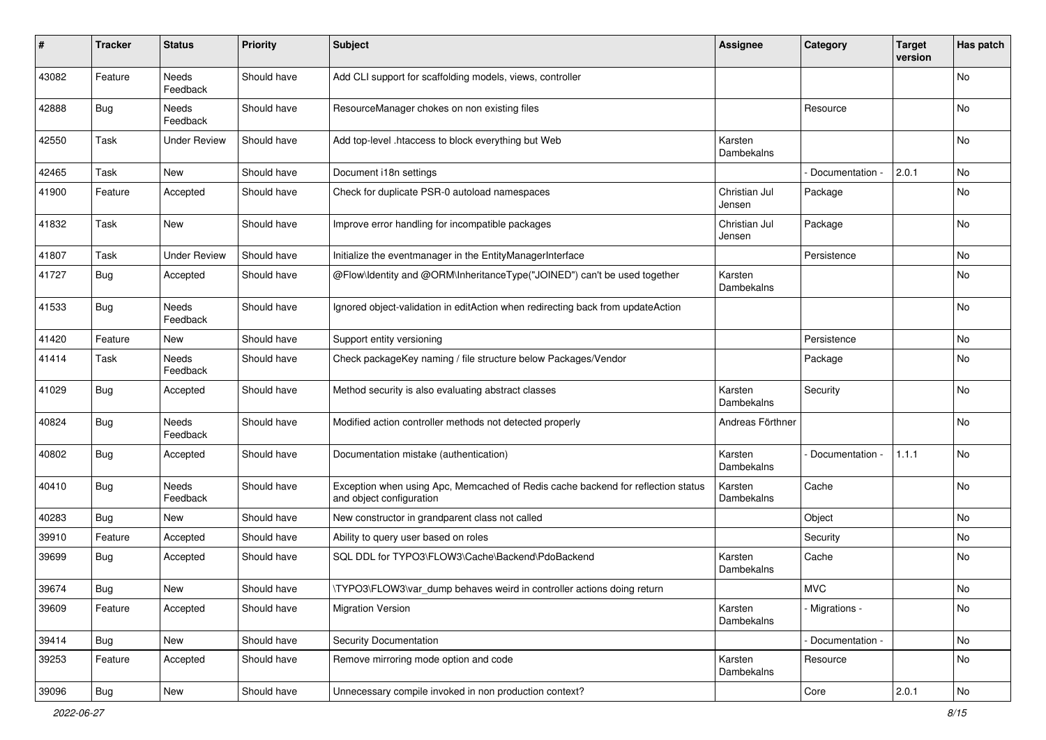| $\sharp$ | Tracker    | <b>Status</b>       | <b>Priority</b> | <b>Subject</b>                                                                                               | <b>Assignee</b>         | Category        | <b>Target</b><br>version | Has patch     |
|----------|------------|---------------------|-----------------|--------------------------------------------------------------------------------------------------------------|-------------------------|-----------------|--------------------------|---------------|
| 43082    | Feature    | Needs<br>Feedback   | Should have     | Add CLI support for scaffolding models, views, controller                                                    |                         |                 |                          | No            |
| 42888    | <b>Bug</b> | Needs<br>Feedback   | Should have     | ResourceManager chokes on non existing files                                                                 |                         | Resource        |                          | No            |
| 42550    | Task       | <b>Under Review</b> | Should have     | Add top-level .htaccess to block everything but Web                                                          | Karsten<br>Dambekalns   |                 |                          | No            |
| 42465    | Task       | New                 | Should have     | Document i18n settings                                                                                       |                         | Documentation - | 2.0.1                    | No            |
| 41900    | Feature    | Accepted            | Should have     | Check for duplicate PSR-0 autoload namespaces                                                                | Christian Jul<br>Jensen | Package         |                          | No            |
| 41832    | Task       | New                 | Should have     | Improve error handling for incompatible packages                                                             | Christian Jul<br>Jensen | Package         |                          | No            |
| 41807    | Task       | <b>Under Review</b> | Should have     | Initialize the eventmanager in the EntityManagerInterface                                                    |                         | Persistence     |                          | No            |
| 41727    | Bug        | Accepted            | Should have     | @Flow\Identity and @ORM\InheritanceType("JOINED") can't be used together                                     | Karsten<br>Dambekalns   |                 |                          | No            |
| 41533    | Bug        | Needs<br>Feedback   | Should have     | Ignored object-validation in editAction when redirecting back from updateAction                              |                         |                 |                          | No            |
| 41420    | Feature    | New                 | Should have     | Support entity versioning                                                                                    |                         | Persistence     |                          | No            |
| 41414    | Task       | Needs<br>Feedback   | Should have     | Check packageKey naming / file structure below Packages/Vendor                                               |                         | Package         |                          | No            |
| 41029    | <b>Bug</b> | Accepted            | Should have     | Method security is also evaluating abstract classes                                                          | Karsten<br>Dambekalns   | Security        |                          | No            |
| 40824    | Bug        | Needs<br>Feedback   | Should have     | Modified action controller methods not detected properly                                                     | Andreas Förthner        |                 |                          | No            |
| 40802    | Bug        | Accepted            | Should have     | Documentation mistake (authentication)                                                                       | Karsten<br>Dambekalns   | Documentation   | 1.1.1                    | No            |
| 40410    | Bug        | Needs<br>Feedback   | Should have     | Exception when using Apc, Memcached of Redis cache backend for reflection status<br>and object configuration | Karsten<br>Dambekalns   | Cache           |                          | No            |
| 40283    | Bug        | New                 | Should have     | New constructor in grandparent class not called                                                              |                         | Object          |                          | No            |
| 39910    | Feature    | Accepted            | Should have     | Ability to query user based on roles                                                                         |                         | Security        |                          | No            |
| 39699    | <b>Bug</b> | Accepted            | Should have     | SQL DDL for TYPO3\FLOW3\Cache\Backend\PdoBackend                                                             | Karsten<br>Dambekalns   | Cache           |                          | No            |
| 39674    | Bug        | New                 | Should have     | \TYPO3\FLOW3\var_dump behaves weird in controller actions doing return                                       |                         | <b>MVC</b>      |                          | No            |
| 39609    | Feature    | Accepted            | Should have     | <b>Migration Version</b>                                                                                     | Karsten<br>Dambekalns   | - Migrations -  |                          | No            |
| 39414    | Bug        | New                 | Should have     | Security Documentation                                                                                       |                         | Documentation - |                          | No            |
| 39253    | Feature    | Accepted            | Should have     | Remove mirroring mode option and code                                                                        | Karsten<br>Dambekalns   | Resource        |                          | No            |
| 39096    | Bug        | New                 | Should have     | Unnecessary compile invoked in non production context?                                                       |                         | Core            | 2.0.1                    | $\mathsf{No}$ |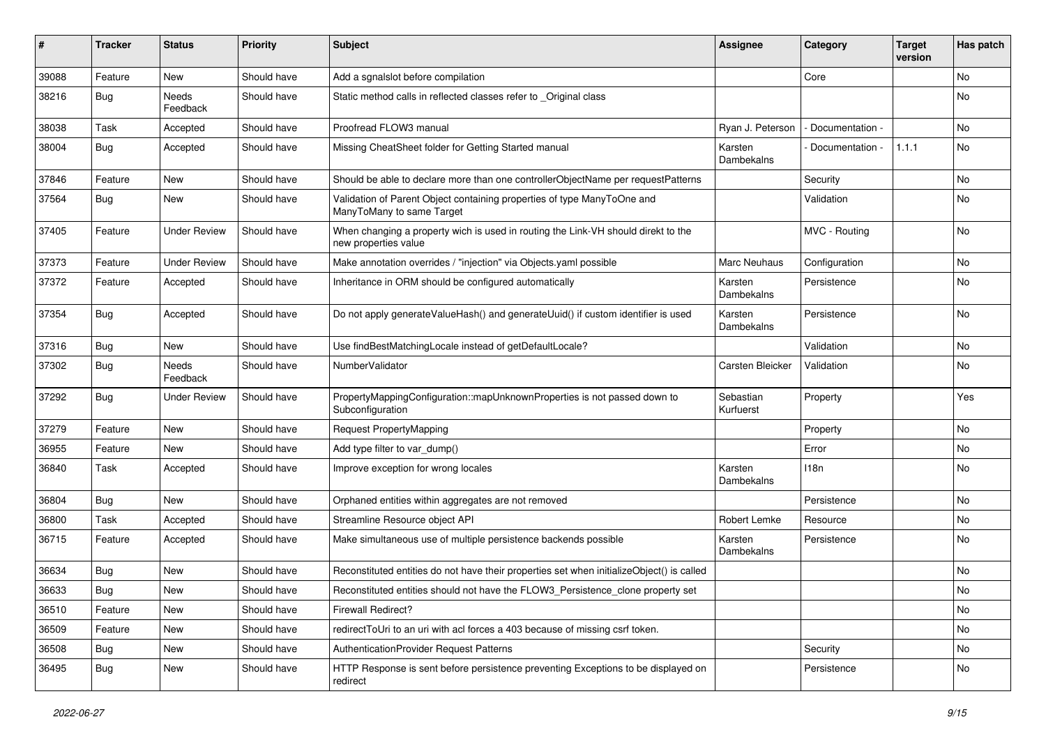| ∦     | <b>Tracker</b> | <b>Status</b>       | <b>Priority</b> | Subject                                                                                                   | <b>Assignee</b>        | Category        | <b>Target</b><br>version | Has patch |
|-------|----------------|---------------------|-----------------|-----------------------------------------------------------------------------------------------------------|------------------------|-----------------|--------------------------|-----------|
| 39088 | Feature        | New                 | Should have     | Add a sgnalslot before compilation                                                                        |                        | Core            |                          | No        |
| 38216 | <b>Bug</b>     | Needs<br>Feedback   | Should have     | Static method calls in reflected classes refer to _Original class                                         |                        |                 |                          | No        |
| 38038 | Task           | Accepted            | Should have     | Proofread FLOW3 manual                                                                                    | Ryan J. Peterson       | Documentation - |                          | <b>No</b> |
| 38004 | <b>Bug</b>     | Accepted            | Should have     | Missing CheatSheet folder for Getting Started manual                                                      | Karsten<br>Dambekalns  | Documentation - | 1.1.1                    | No        |
| 37846 | Feature        | New                 | Should have     | Should be able to declare more than one controllerObjectName per requestPatterns                          |                        | Security        |                          | No        |
| 37564 | <b>Bug</b>     | New                 | Should have     | Validation of Parent Object containing properties of type ManyToOne and<br>ManyToMany to same Target      |                        | Validation      |                          | No        |
| 37405 | Feature        | <b>Under Review</b> | Should have     | When changing a property wich is used in routing the Link-VH should direkt to the<br>new properties value |                        | MVC - Routing   |                          | No        |
| 37373 | Feature        | <b>Under Review</b> | Should have     | Make annotation overrides / "injection" via Objects.yaml possible                                         | Marc Neuhaus           | Configuration   |                          | No        |
| 37372 | Feature        | Accepted            | Should have     | Inheritance in ORM should be configured automatically                                                     | Karsten<br>Dambekalns  | Persistence     |                          | No        |
| 37354 | <b>Bug</b>     | Accepted            | Should have     | Do not apply generateValueHash() and generateUuid() if custom identifier is used                          | Karsten<br>Dambekalns  | Persistence     |                          | <b>No</b> |
| 37316 | <b>Bug</b>     | New                 | Should have     | Use findBestMatchingLocale instead of getDefaultLocale?                                                   |                        | Validation      |                          | <b>No</b> |
| 37302 | <b>Bug</b>     | Needs<br>Feedback   | Should have     | NumberValidator                                                                                           | Carsten Bleicker       | Validation      |                          | No        |
| 37292 | <b>Bug</b>     | <b>Under Review</b> | Should have     | PropertyMappingConfiguration::mapUnknownProperties is not passed down to<br>Subconfiguration              | Sebastian<br>Kurfuerst | Property        |                          | Yes       |
| 37279 | Feature        | New                 | Should have     | <b>Request PropertyMapping</b>                                                                            |                        | Property        |                          | No        |
| 36955 | Feature        | <b>New</b>          | Should have     | Add type filter to var_dump()                                                                             |                        | Error           |                          | <b>No</b> |
| 36840 | Task           | Accepted            | Should have     | Improve exception for wrong locales                                                                       | Karsten<br>Dambekalns  | 118n            |                          | No        |
| 36804 | <b>Bug</b>     | New                 | Should have     | Orphaned entities within aggregates are not removed                                                       |                        | Persistence     |                          | No        |
| 36800 | Task           | Accepted            | Should have     | Streamline Resource object API                                                                            | Robert Lemke           | Resource        |                          | No        |
| 36715 | Feature        | Accepted            | Should have     | Make simultaneous use of multiple persistence backends possible                                           | Karsten<br>Dambekalns  | Persistence     |                          | No        |
| 36634 | <b>Bug</b>     | New                 | Should have     | Reconstituted entities do not have their properties set when initializeObject() is called                 |                        |                 |                          | No        |
| 36633 | <b>Bug</b>     | New                 | Should have     | Reconstituted entities should not have the FLOW3_Persistence_clone property set                           |                        |                 |                          | No        |
| 36510 | Feature        | New                 | Should have     | Firewall Redirect?                                                                                        |                        |                 |                          | No        |
| 36509 | Feature        | New                 | Should have     | redirectToUri to an uri with acl forces a 403 because of missing csrf token.                              |                        |                 |                          | No        |
| 36508 | Bug            | New                 | Should have     | AuthenticationProvider Request Patterns                                                                   |                        | Security        |                          | No        |
| 36495 | <b>Bug</b>     | New                 | Should have     | HTTP Response is sent before persistence preventing Exceptions to be displayed on<br>redirect             |                        | Persistence     |                          | No        |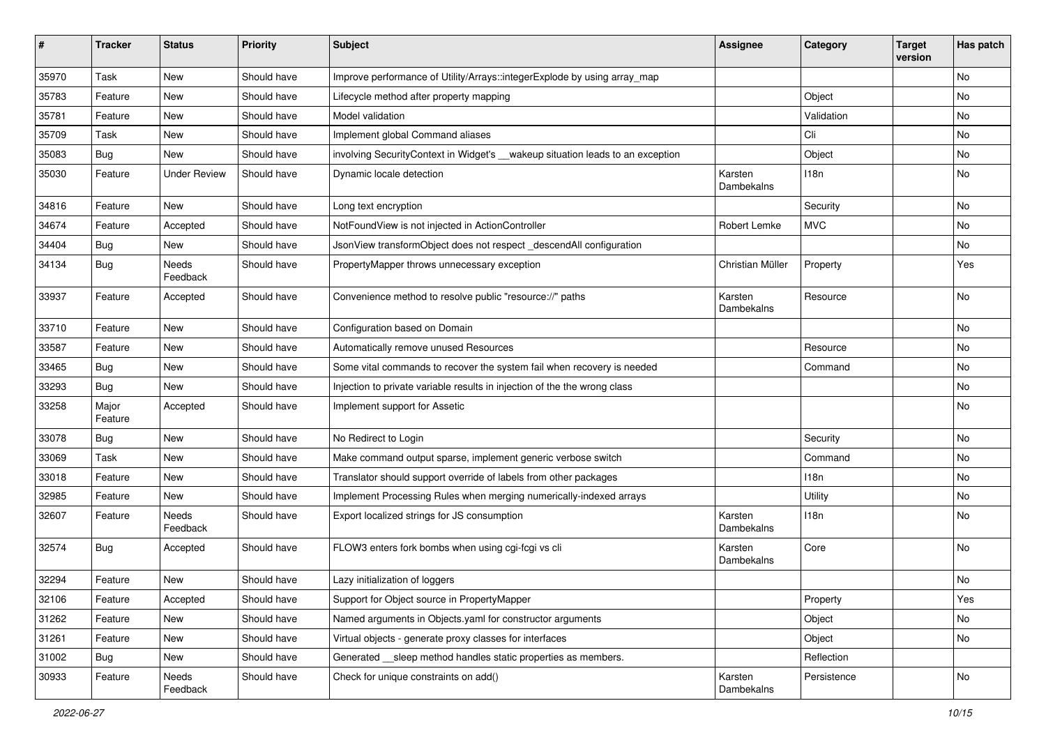| ∦     | <b>Tracker</b>   | <b>Status</b>       | <b>Priority</b> | <b>Subject</b>                                                                  | <b>Assignee</b>       | Category    | <b>Target</b><br>version | Has patch |
|-------|------------------|---------------------|-----------------|---------------------------------------------------------------------------------|-----------------------|-------------|--------------------------|-----------|
| 35970 | Task             | New                 | Should have     | Improve performance of Utility/Arrays::integerExplode by using array_map        |                       |             |                          | No        |
| 35783 | Feature          | New                 | Should have     | Lifecycle method after property mapping                                         |                       | Object      |                          | No        |
| 35781 | Feature          | New                 | Should have     | Model validation                                                                |                       | Validation  |                          | No        |
| 35709 | Task             | <b>New</b>          | Should have     | Implement global Command aliases                                                |                       | Cli         |                          | <b>No</b> |
| 35083 | <b>Bug</b>       | New                 | Should have     | involving Security Context in Widget's __wakeup situation leads to an exception |                       | Object      |                          | No        |
| 35030 | Feature          | <b>Under Review</b> | Should have     | Dynamic locale detection                                                        | Karsten<br>Dambekalns | 118n        |                          | No        |
| 34816 | Feature          | New                 | Should have     | Long text encryption                                                            |                       | Security    |                          | No        |
| 34674 | Feature          | Accepted            | Should have     | NotFoundView is not injected in ActionController                                | Robert Lemke          | <b>MVC</b>  |                          | No        |
| 34404 | <b>Bug</b>       | New                 | Should have     | JsonView transformObject does not respect_descendAll configuration              |                       |             |                          | No        |
| 34134 | <b>Bug</b>       | Needs<br>Feedback   | Should have     | PropertyMapper throws unnecessary exception                                     | Christian Müller      | Property    |                          | Yes       |
| 33937 | Feature          | Accepted            | Should have     | Convenience method to resolve public "resource://" paths                        | Karsten<br>Dambekalns | Resource    |                          | No        |
| 33710 | Feature          | New                 | Should have     | Configuration based on Domain                                                   |                       |             |                          | No        |
| 33587 | Feature          | New                 | Should have     | Automatically remove unused Resources                                           |                       | Resource    |                          | No        |
| 33465 | Bug              | New                 | Should have     | Some vital commands to recover the system fail when recovery is needed          |                       | Command     |                          | No        |
| 33293 | <b>Bug</b>       | <b>New</b>          | Should have     | Injection to private variable results in injection of the the wrong class       |                       |             |                          | No        |
| 33258 | Major<br>Feature | Accepted            | Should have     | Implement support for Assetic                                                   |                       |             |                          | No        |
| 33078 | <b>Bug</b>       | New                 | Should have     | No Redirect to Login                                                            |                       | Security    |                          | No        |
| 33069 | Task             | New                 | Should have     | Make command output sparse, implement generic verbose switch                    |                       | Command     |                          | No        |
| 33018 | Feature          | New                 | Should have     | Translator should support override of labels from other packages                |                       | 118n        |                          | No        |
| 32985 | Feature          | New                 | Should have     | Implement Processing Rules when merging numerically-indexed arrays              |                       | Utility     |                          | No        |
| 32607 | Feature          | Needs<br>Feedback   | Should have     | Export localized strings for JS consumption                                     | Karsten<br>Dambekalns | 118n        |                          | No        |
| 32574 | <b>Bug</b>       | Accepted            | Should have     | FLOW3 enters fork bombs when using cgi-fcgi vs cli                              | Karsten<br>Dambekalns | Core        |                          | No        |
| 32294 | Feature          | New                 | Should have     | Lazy initialization of loggers                                                  |                       |             |                          | No        |
| 32106 | Feature          | Accepted            | Should have     | Support for Object source in PropertyMapper                                     |                       | Property    |                          | Yes       |
| 31262 | Feature          | New                 | Should have     | Named arguments in Objects.yaml for constructor arguments                       |                       | Object      |                          | No        |
| 31261 | Feature          | New                 | Should have     | Virtual objects - generate proxy classes for interfaces                         |                       | Object      |                          | No        |
| 31002 | Bug              | New                 | Should have     | Generated __sleep method handles static properties as members.                  |                       | Reflection  |                          |           |
| 30933 | Feature          | Needs<br>Feedback   | Should have     | Check for unique constraints on add()                                           | Karsten<br>Dambekalns | Persistence |                          | No        |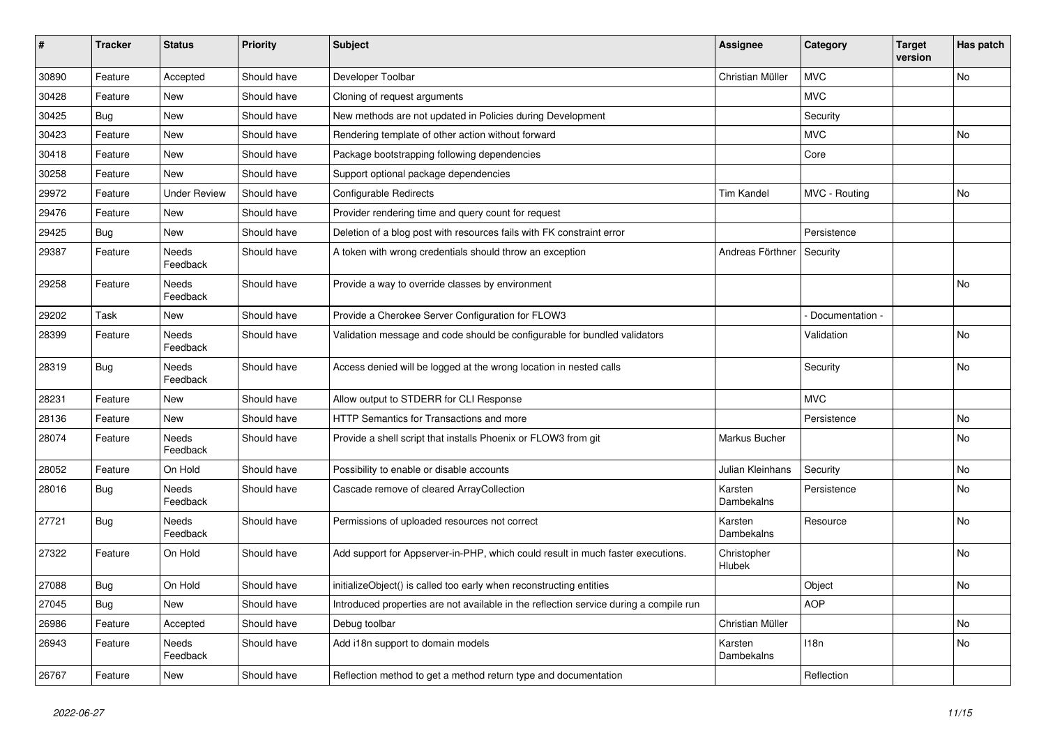| #     | <b>Tracker</b> | <b>Status</b>            | <b>Priority</b> | <b>Subject</b>                                                                         | <b>Assignee</b>       | Category         | <b>Target</b><br>version | Has patch |
|-------|----------------|--------------------------|-----------------|----------------------------------------------------------------------------------------|-----------------------|------------------|--------------------------|-----------|
| 30890 | Feature        | Accepted                 | Should have     | Developer Toolbar                                                                      | Christian Müller      | <b>MVC</b>       |                          | <b>No</b> |
| 30428 | Feature        | <b>New</b>               | Should have     | Cloning of request arguments                                                           |                       | <b>MVC</b>       |                          |           |
| 30425 | Bug            | <b>New</b>               | Should have     | New methods are not updated in Policies during Development                             |                       | Security         |                          |           |
| 30423 | Feature        | <b>New</b>               | Should have     | Rendering template of other action without forward                                     |                       | <b>MVC</b>       |                          | <b>No</b> |
| 30418 | Feature        | <b>New</b>               | Should have     | Package bootstrapping following dependencies                                           |                       | Core             |                          |           |
| 30258 | Feature        | <b>New</b>               | Should have     | Support optional package dependencies                                                  |                       |                  |                          |           |
| 29972 | Feature        | <b>Under Review</b>      | Should have     | Configurable Redirects                                                                 | <b>Tim Kandel</b>     | MVC - Routing    |                          | <b>No</b> |
| 29476 | Feature        | New                      | Should have     | Provider rendering time and query count for request                                    |                       |                  |                          |           |
| 29425 | <b>Bug</b>     | <b>New</b>               | Should have     | Deletion of a blog post with resources fails with FK constraint error                  |                       | Persistence      |                          |           |
| 29387 | Feature        | Needs<br>Feedback        | Should have     | A token with wrong credentials should throw an exception                               | Andreas Förthner      | Security         |                          |           |
| 29258 | Feature        | Needs<br>Feedback        | Should have     | Provide a way to override classes by environment                                       |                       |                  |                          | No        |
| 29202 | Task           | <b>New</b>               | Should have     | Provide a Cherokee Server Configuration for FLOW3                                      |                       | Documentation -  |                          |           |
| 28399 | Feature        | Needs<br>Feedback        | Should have     | Validation message and code should be configurable for bundled validators              |                       | Validation       |                          | <b>No</b> |
| 28319 | <b>Bug</b>     | Needs<br>Feedback        | Should have     | Access denied will be logged at the wrong location in nested calls                     |                       | Security         |                          | No        |
| 28231 | Feature        | <b>New</b>               | Should have     | Allow output to STDERR for CLI Response                                                |                       | <b>MVC</b>       |                          |           |
| 28136 | Feature        | New                      | Should have     | HTTP Semantics for Transactions and more                                               |                       | Persistence      |                          | No        |
| 28074 | Feature        | <b>Needs</b><br>Feedback | Should have     | Provide a shell script that installs Phoenix or FLOW3 from git                         | Markus Bucher         |                  |                          | <b>No</b> |
| 28052 | Feature        | On Hold                  | Should have     | Possibility to enable or disable accounts                                              | Julian Kleinhans      | Security         |                          | <b>No</b> |
| 28016 | <b>Bug</b>     | Needs<br>Feedback        | Should have     | Cascade remove of cleared ArrayCollection                                              | Karsten<br>Dambekalns | Persistence      |                          | No        |
| 27721 | Bug            | <b>Needs</b><br>Feedback | Should have     | Permissions of uploaded resources not correct                                          | Karsten<br>Dambekalns | Resource         |                          | <b>No</b> |
| 27322 | Feature        | On Hold                  | Should have     | Add support for Appserver-in-PHP, which could result in much faster executions.        | Christopher<br>Hlubek |                  |                          | No        |
| 27088 | <b>Bug</b>     | On Hold                  | Should have     | initializeObject() is called too early when reconstructing entities                    |                       | Object           |                          | <b>No</b> |
| 27045 | <b>Bug</b>     | <b>New</b>               | Should have     | Introduced properties are not available in the reflection service during a compile run |                       | <b>AOP</b>       |                          |           |
| 26986 | Feature        | Accepted                 | Should have     | Debug toolbar                                                                          | Christian Müller      |                  |                          | <b>No</b> |
| 26943 | Feature        | Needs<br>Feedback        | Should have     | Add i18n support to domain models                                                      | Karsten<br>Dambekalns | 118 <sub>n</sub> |                          | <b>No</b> |
| 26767 | Feature        | <b>New</b>               | Should have     | Reflection method to get a method return type and documentation                        |                       | Reflection       |                          |           |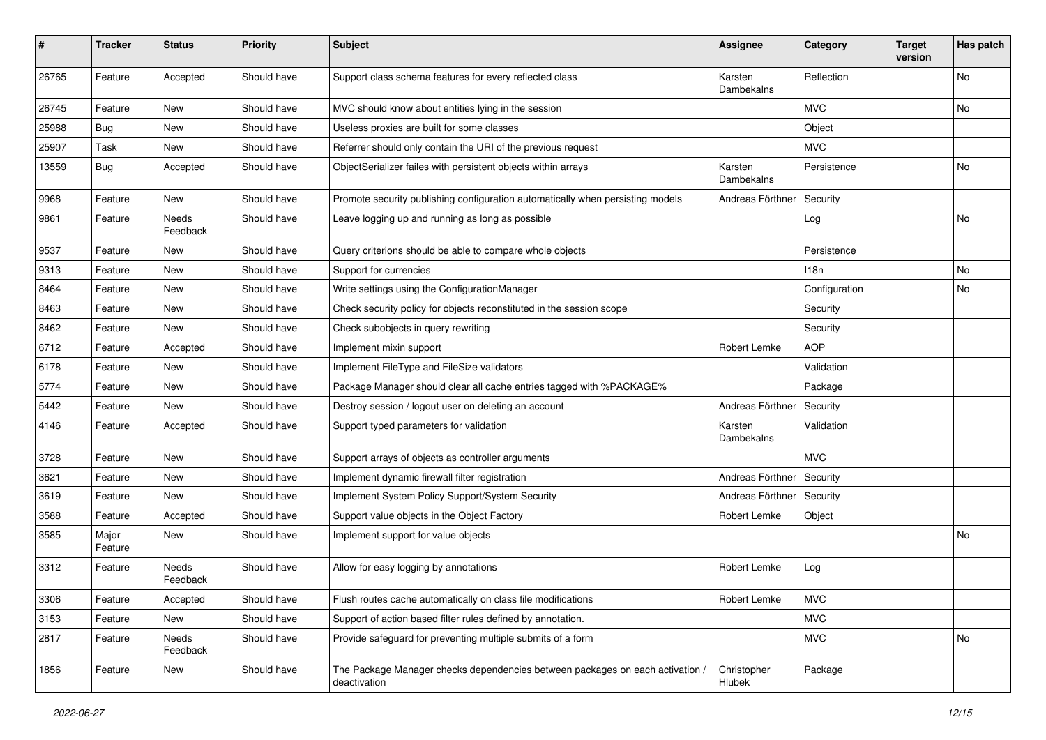| #     | <b>Tracker</b>   | <b>Status</b>     | <b>Priority</b> | <b>Subject</b>                                                                                | Assignee              | Category         | <b>Target</b><br>version | Has patch |
|-------|------------------|-------------------|-----------------|-----------------------------------------------------------------------------------------------|-----------------------|------------------|--------------------------|-----------|
| 26765 | Feature          | Accepted          | Should have     | Support class schema features for every reflected class                                       | Karsten<br>Dambekalns | Reflection       |                          | No        |
| 26745 | Feature          | New               | Should have     | MVC should know about entities lying in the session                                           |                       | <b>MVC</b>       |                          | No        |
| 25988 | Bug              | <b>New</b>        | Should have     | Useless proxies are built for some classes                                                    |                       | Object           |                          |           |
| 25907 | Task             | New               | Should have     | Referrer should only contain the URI of the previous request                                  |                       | <b>MVC</b>       |                          |           |
| 13559 | <b>Bug</b>       | Accepted          | Should have     | ObjectSerializer failes with persistent objects within arrays                                 | Karsten<br>Dambekalns | Persistence      |                          | No        |
| 9968  | Feature          | <b>New</b>        | Should have     | Promote security publishing configuration automatically when persisting models                | Andreas Förthner      | Security         |                          |           |
| 9861  | Feature          | Needs<br>Feedback | Should have     | Leave logging up and running as long as possible                                              |                       | Log              |                          | No        |
| 9537  | Feature          | New               | Should have     | Query criterions should be able to compare whole objects                                      |                       | Persistence      |                          |           |
| 9313  | Feature          | New               | Should have     | Support for currencies                                                                        |                       | 118 <sub>n</sub> |                          | No        |
| 8464  | Feature          | New               | Should have     | Write settings using the ConfigurationManager                                                 |                       | Configuration    |                          | No        |
| 8463  | Feature          | New               | Should have     | Check security policy for objects reconstituted in the session scope                          |                       | Security         |                          |           |
| 8462  | Feature          | New               | Should have     | Check subobjects in query rewriting                                                           |                       | Security         |                          |           |
| 6712  | Feature          | Accepted          | Should have     | Implement mixin support                                                                       | Robert Lemke          | <b>AOP</b>       |                          |           |
| 6178  | Feature          | New               | Should have     | Implement FileType and FileSize validators                                                    |                       | Validation       |                          |           |
| 5774  | Feature          | New               | Should have     | Package Manager should clear all cache entries tagged with %PACKAGE%                          |                       | Package          |                          |           |
| 5442  | Feature          | New               | Should have     | Destroy session / logout user on deleting an account                                          | Andreas Förthner      | Security         |                          |           |
| 4146  | Feature          | Accepted          | Should have     | Support typed parameters for validation                                                       | Karsten<br>Dambekalns | Validation       |                          |           |
| 3728  | Feature          | <b>New</b>        | Should have     | Support arrays of objects as controller arguments                                             |                       | <b>MVC</b>       |                          |           |
| 3621  | Feature          | New               | Should have     | Implement dynamic firewall filter registration                                                | Andreas Förthner      | Security         |                          |           |
| 3619  | Feature          | New               | Should have     | Implement System Policy Support/System Security                                               | Andreas Förthner      | Security         |                          |           |
| 3588  | Feature          | Accepted          | Should have     | Support value objects in the Object Factory                                                   | Robert Lemke          | Object           |                          |           |
| 3585  | Major<br>Feature | New               | Should have     | Implement support for value objects                                                           |                       |                  |                          | No        |
| 3312  | Feature          | Needs<br>Feedback | Should have     | Allow for easy logging by annotations                                                         | Robert Lemke          | Log              |                          |           |
| 3306  | Feature          | Accepted          | Should have     | Flush routes cache automatically on class file modifications                                  | Robert Lemke          | <b>MVC</b>       |                          |           |
| 3153  | Feature          | New               | Should have     | Support of action based filter rules defined by annotation.                                   |                       | <b>MVC</b>       |                          |           |
| 2817  | Feature          | Needs<br>Feedback | Should have     | Provide safeguard for preventing multiple submits of a form                                   |                       | <b>MVC</b>       |                          | No        |
| 1856  | Feature          | New               | Should have     | The Package Manager checks dependencies between packages on each activation /<br>deactivation | Christopher<br>Hlubek | Package          |                          |           |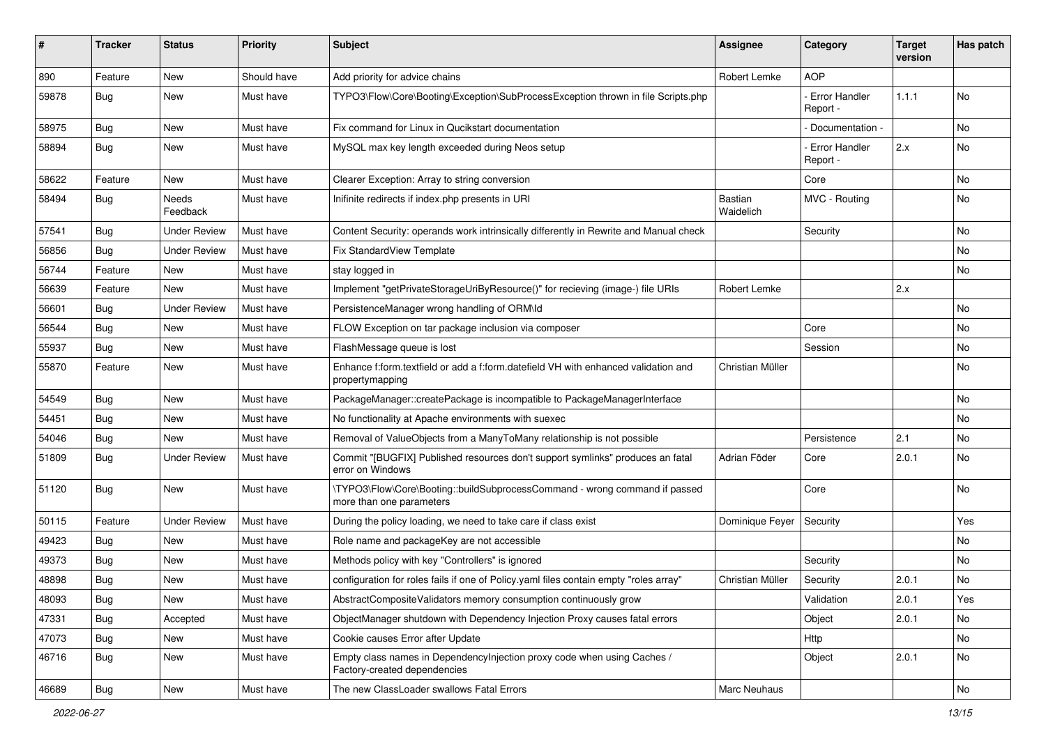| ∦     | <b>Tracker</b> | <b>Status</b>       | <b>Priority</b> | <b>Subject</b>                                                                                          | <b>Assignee</b>      | Category                         | <b>Target</b><br>version | Has patch |
|-------|----------------|---------------------|-----------------|---------------------------------------------------------------------------------------------------------|----------------------|----------------------------------|--------------------------|-----------|
| 890   | Feature        | New                 | Should have     | Add priority for advice chains                                                                          | Robert Lemke         | <b>AOP</b>                       |                          |           |
| 59878 | Bug            | New                 | Must have       | TYPO3\Flow\Core\Booting\Exception\SubProcessException thrown in file Scripts.php                        |                      | Error Handler<br>Report -        | 1.1.1                    | No        |
| 58975 | Bug            | <b>New</b>          | Must have       | Fix command for Linux in Qucikstart documentation                                                       |                      | Documentation -                  |                          | <b>No</b> |
| 58894 | <b>Bug</b>     | New                 | Must have       | MySQL max key length exceeded during Neos setup                                                         |                      | <b>Error Handler</b><br>Report - | 2.x                      | No        |
| 58622 | Feature        | New                 | Must have       | Clearer Exception: Array to string conversion                                                           |                      | Core                             |                          | No        |
| 58494 | <b>Bug</b>     | Needs<br>Feedback   | Must have       | Inifinite redirects if index.php presents in URI                                                        | Bastian<br>Waidelich | MVC - Routing                    |                          | No        |
| 57541 | <b>Bug</b>     | <b>Under Review</b> | Must have       | Content Security: operands work intrinsically differently in Rewrite and Manual check                   |                      | Security                         |                          | <b>No</b> |
| 56856 | <b>Bug</b>     | <b>Under Review</b> | Must have       | <b>Fix StandardView Template</b>                                                                        |                      |                                  |                          | No        |
| 56744 | Feature        | <b>New</b>          | Must have       | stay logged in                                                                                          |                      |                                  |                          | No        |
| 56639 | Feature        | New                 | Must have       | Implement "getPrivateStorageUriByResource()" for recieving (image-) file URIs                           | Robert Lemke         |                                  | 2.x                      |           |
| 56601 | Bug            | <b>Under Review</b> | Must have       | PersistenceManager wrong handling of ORM\ld                                                             |                      |                                  |                          | <b>No</b> |
| 56544 | <b>Bug</b>     | New                 | Must have       | FLOW Exception on tar package inclusion via composer                                                    |                      | Core                             |                          | No        |
| 55937 | <b>Bug</b>     | New                 | Must have       | FlashMessage queue is lost                                                                              |                      | Session                          |                          | No        |
| 55870 | Feature        | New                 | Must have       | Enhance f:form.textfield or add a f:form.datefield VH with enhanced validation and<br>propertymapping   | Christian Müller     |                                  |                          | No        |
| 54549 | Bug            | New                 | Must have       | PackageManager::createPackage is incompatible to PackageManagerInterface                                |                      |                                  |                          | No        |
| 54451 | Bug            | <b>New</b>          | Must have       | No functionality at Apache environments with suexec                                                     |                      |                                  |                          | No        |
| 54046 | <b>Bug</b>     | New                 | Must have       | Removal of ValueObjects from a ManyToMany relationship is not possible                                  |                      | Persistence                      | 2.1                      | No        |
| 51809 | <b>Bug</b>     | <b>Under Review</b> | Must have       | Commit "[BUGFIX] Published resources don't support symlinks" produces an fatal<br>error on Windows      | Adrian Föder         | Core                             | 2.0.1                    | <b>No</b> |
| 51120 | Bug            | <b>New</b>          | Must have       | \TYPO3\Flow\Core\Booting::buildSubprocessCommand - wrong command if passed<br>more than one parameters  |                      | Core                             |                          | <b>No</b> |
| 50115 | Feature        | <b>Under Review</b> | Must have       | During the policy loading, we need to take care if class exist                                          | Dominique Feyer      | Security                         |                          | Yes       |
| 49423 | Bug            | New                 | Must have       | Role name and packageKey are not accessible                                                             |                      |                                  |                          | No        |
| 49373 | <b>Bug</b>     | New                 | Must have       | Methods policy with key "Controllers" is ignored                                                        |                      | Security                         |                          | No        |
| 48898 | Bug            | New                 | Must have       | configuration for roles fails if one of Policy yaml files contain empty "roles array"                   | Christian Müller     | Security                         | 2.0.1                    | No        |
| 48093 | Bug            | New                 | Must have       | AbstractCompositeValidators memory consumption continuously grow                                        |                      | Validation                       | 2.0.1                    | Yes       |
| 47331 | <b>Bug</b>     | Accepted            | Must have       | ObjectManager shutdown with Dependency Injection Proxy causes fatal errors                              |                      | Object                           | 2.0.1                    | No        |
| 47073 | Bug            | New                 | Must have       | Cookie causes Error after Update                                                                        |                      | Http                             |                          | No        |
| 46716 | <b>Bug</b>     | New                 | Must have       | Empty class names in DependencyInjection proxy code when using Caches /<br>Factory-created dependencies |                      | Object                           | 2.0.1                    | No        |
| 46689 | i Bug          | New                 | Must have       | The new ClassLoader swallows Fatal Errors                                                               | Marc Neuhaus         |                                  |                          | No        |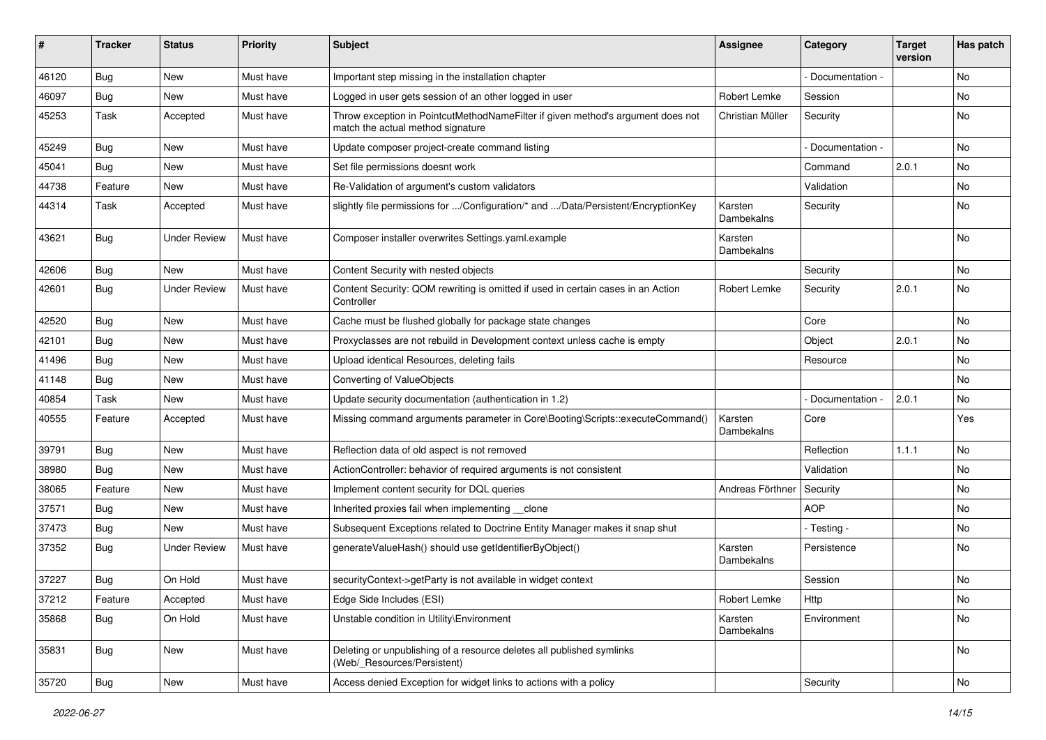| ∦     | <b>Tracker</b> | <b>Status</b>       | <b>Priority</b> | <b>Subject</b>                                                                                                       | <b>Assignee</b>       | Category        | <b>Target</b><br>version | Has patch |
|-------|----------------|---------------------|-----------------|----------------------------------------------------------------------------------------------------------------------|-----------------------|-----------------|--------------------------|-----------|
| 46120 | Bug            | New                 | Must have       | Important step missing in the installation chapter                                                                   |                       | Documentation - |                          | <b>No</b> |
| 46097 | <b>Bug</b>     | <b>New</b>          | Must have       | Logged in user gets session of an other logged in user                                                               | Robert Lemke          | Session         |                          | No.       |
| 45253 | Task           | Accepted            | Must have       | Throw exception in PointcutMethodNameFilter if given method's argument does not<br>match the actual method signature | Christian Müller      | Security        |                          | No        |
| 45249 | Bug            | <b>New</b>          | Must have       | Update composer project-create command listing                                                                       |                       | Documentation - |                          | <b>No</b> |
| 45041 | <b>Bug</b>     | <b>New</b>          | Must have       | Set file permissions doesnt work                                                                                     |                       | Command         | 2.0.1                    | <b>No</b> |
| 44738 | Feature        | New                 | Must have       | Re-Validation of argument's custom validators                                                                        |                       | Validation      |                          | No        |
| 44314 | Task           | Accepted            | Must have       | slightly file permissions for /Configuration/* and /Data/Persistent/EncryptionKey                                    | Karsten<br>Dambekalns | Security        |                          | No        |
| 43621 | Bug            | <b>Under Review</b> | Must have       | Composer installer overwrites Settings.yaml.example                                                                  | Karsten<br>Dambekalns |                 |                          | <b>No</b> |
| 42606 | Bug            | <b>New</b>          | Must have       | Content Security with nested objects                                                                                 |                       | Security        |                          | No        |
| 42601 | <b>Bug</b>     | <b>Under Review</b> | Must have       | Content Security: QOM rewriting is omitted if used in certain cases in an Action<br>Controller                       | Robert Lemke          | Security        | 2.0.1                    | <b>No</b> |
| 42520 | Bug            | <b>New</b>          | Must have       | Cache must be flushed globally for package state changes                                                             |                       | Core            |                          | <b>No</b> |
| 42101 | <b>Bug</b>     | New                 | Must have       | Proxyclasses are not rebuild in Development context unless cache is empty                                            |                       | Object          | 2.0.1                    | No        |
| 41496 | Bug            | <b>New</b>          | Must have       | Upload identical Resources, deleting fails                                                                           |                       | Resource        |                          | <b>No</b> |
| 41148 | Bug            | New                 | Must have       | Converting of ValueObjects                                                                                           |                       |                 |                          | No        |
| 40854 | Task           | New                 | Must have       | Update security documentation (authentication in 1.2)                                                                |                       | Documentation - | 2.0.1                    | No        |
| 40555 | Feature        | Accepted            | Must have       | Missing command arguments parameter in Core\Booting\Scripts::executeCommand()                                        | Karsten<br>Dambekalns | Core            |                          | Yes       |
| 39791 | <b>Bug</b>     | New                 | Must have       | Reflection data of old aspect is not removed                                                                         |                       | Reflection      | 1.1.1                    | No        |
| 38980 | Bug            | New                 | Must have       | ActionController: behavior of required arguments is not consistent                                                   |                       | Validation      |                          | No        |
| 38065 | Feature        | New                 | Must have       | Implement content security for DQL queries                                                                           | Andreas Förthner      | Security        |                          | No        |
| 37571 | Bug            | New                 | Must have       | Inherited proxies fail when implementing clone                                                                       |                       | <b>AOP</b>      |                          | No        |
| 37473 | <b>Bug</b>     | <b>New</b>          | Must have       | Subsequent Exceptions related to Doctrine Entity Manager makes it snap shut                                          |                       | - Testing -     |                          | No.       |
| 37352 | Bug            | <b>Under Review</b> | Must have       | generateValueHash() should use getIdentifierByObject()                                                               | Karsten<br>Dambekalns | Persistence     |                          | No        |
| 37227 | Bug            | On Hold             | Must have       | securityContext->getParty is not available in widget context                                                         |                       | Session         |                          | No        |
| 37212 | Feature        | Accepted            | Must have       | Edge Side Includes (ESI)                                                                                             | Robert Lemke          | Http            |                          | No        |
| 35868 | <b>Bug</b>     | On Hold             | Must have       | Unstable condition in Utility\Environment                                                                            | Karsten<br>Dambekalns | Environment     |                          | No        |
| 35831 | <b>Bug</b>     | New                 | Must have       | Deleting or unpublishing of a resource deletes all published symlinks<br>(Web/_Resources/Persistent)                 |                       |                 |                          | No        |
| 35720 | Bug            | New                 | Must have       | Access denied Exception for widget links to actions with a policy                                                    |                       | Security        |                          | No        |